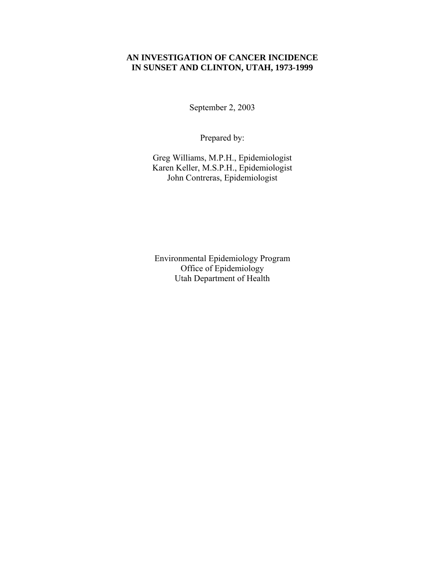# **AN INVESTIGATION OF CANCER INCIDENCE IN SUNSET AND CLINTON, UTAH, 1973-1999**

September 2, 2003

Prepared by:

Greg Williams, M.P.H., Epidemiologist Karen Keller, M.S.P.H., Epidemiologist John Contreras, Epidemiologist

Environmental Epidemiology Program Office of Epidemiology Utah Department of Health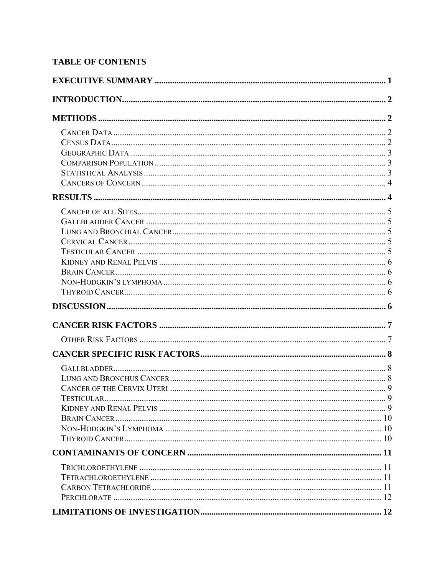# **TABLE OF CONTENTS**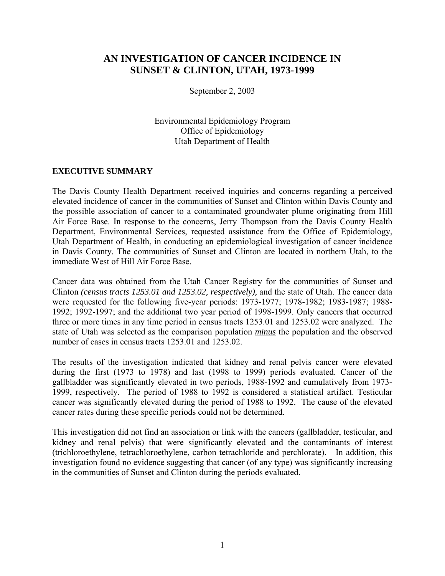# **AN INVESTIGATION OF CANCER INCIDENCE IN SUNSET & CLINTON, UTAH, 1973-1999**

September 2, 2003

Environmental Epidemiology Program Office of Epidemiology Utah Department of Health

### **EXECUTIVE SUMMARY**

The Davis County Health Department received inquiries and concerns regarding a perceived elevated incidence of cancer in the communities of Sunset and Clinton within Davis County and the possible association of cancer to a contaminated groundwater plume originating from Hill Air Force Base. In response to the concerns, Jerry Thompson from the Davis County Health Department, Environmental Services, requested assistance from the Office of Epidemiology, Utah Department of Health, in conducting an epidemiological investigation of cancer incidence in Davis County. The communities of Sunset and Clinton are located in northern Utah, to the immediate West of Hill Air Force Base.

Cancer data was obtained from the Utah Cancer Registry for the communities of Sunset and Clinton *(census tracts 1253.01 and 1253.02, respectively),* and the state of Utah. The cancer data were requested for the following five-year periods: 1973-1977; 1978-1982; 1983-1987; 1988- 1992; 1992-1997; and the additional two year period of 1998-1999. Only cancers that occurred three or more times in any time period in census tracts 1253.01 and 1253.02 were analyzed. The state of Utah was selected as the comparison population *minus* the population and the observed number of cases in census tracts 1253.01 and 1253.02.

The results of the investigation indicated that kidney and renal pelvis cancer were elevated during the first (1973 to 1978) and last (1998 to 1999) periods evaluated. Cancer of the gallbladder was significantly elevated in two periods, 1988-1992 and cumulatively from 1973- 1999, respectively. The period of 1988 to 1992 is considered a statistical artifact. Testicular cancer was significantly elevated during the period of 1988 to 1992. The cause of the elevated cancer rates during these specific periods could not be determined.

This investigation did not find an association or link with the cancers (gallbladder, testicular, and kidney and renal pelvis) that were significantly elevated and the contaminants of interest (trichloroethylene, tetrachloroethylene, carbon tetrachloride and perchlorate). In addition, this investigation found no evidence suggesting that cancer (of any type) was significantly increasing in the communities of Sunset and Clinton during the periods evaluated.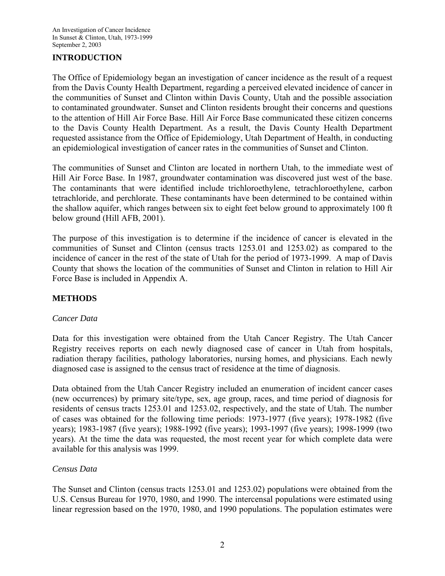# **INTRODUCTION**

The Office of Epidemiology began an investigation of cancer incidence as the result of a request from the Davis County Health Department, regarding a perceived elevated incidence of cancer in the communities of Sunset and Clinton within Davis County, Utah and the possible association to contaminated groundwater. Sunset and Clinton residents brought their concerns and questions to the attention of Hill Air Force Base. Hill Air Force Base communicated these citizen concerns to the Davis County Health Department. As a result, the Davis County Health Department requested assistance from the Office of Epidemiology, Utah Department of Health, in conducting an epidemiological investigation of cancer rates in the communities of Sunset and Clinton.

The communities of Sunset and Clinton are located in northern Utah, to the immediate west of Hill Air Force Base. In 1987, groundwater contamination was discovered just west of the base. The contaminants that were identified include trichloroethylene, tetrachloroethylene, carbon tetrachloride, and perchlorate. These contaminants have been determined to be contained within the shallow aquifer, which ranges between six to eight feet below ground to approximately 100 ft below ground (Hill AFB, 2001).

The purpose of this investigation is to determine if the incidence of cancer is elevated in the communities of Sunset and Clinton (census tracts 1253.01 and 1253.02) as compared to the incidence of cancer in the rest of the state of Utah for the period of 1973-1999. A map of Davis County that shows the location of the communities of Sunset and Clinton in relation to Hill Air Force Base is included in Appendix A.

# **METHODS**

#### *Cancer Data*

Data for this investigation were obtained from the Utah Cancer Registry. The Utah Cancer Registry receives reports on each newly diagnosed case of cancer in Utah from hospitals, radiation therapy facilities, pathology laboratories, nursing homes, and physicians. Each newly diagnosed case is assigned to the census tract of residence at the time of diagnosis.

Data obtained from the Utah Cancer Registry included an enumeration of incident cancer cases (new occurrences) by primary site/type, sex, age group, races, and time period of diagnosis for residents of census tracts 1253.01 and 1253.02, respectively, and the state of Utah. The number of cases was obtained for the following time periods: 1973-1977 (five years); 1978-1982 (five years); 1983-1987 (five years); 1988-1992 (five years); 1993-1997 (five years); 1998-1999 (two years). At the time the data was requested, the most recent year for which complete data were available for this analysis was 1999.

#### *Census Data*

The Sunset and Clinton (census tracts 1253.01 and 1253.02) populations were obtained from the U.S. Census Bureau for 1970, 1980, and 1990. The intercensal populations were estimated using linear regression based on the 1970, 1980, and 1990 populations. The population estimates were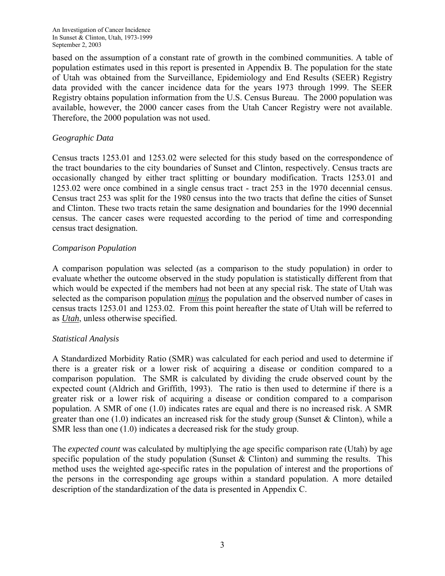based on the assumption of a constant rate of growth in the combined communities. A table of population estimates used in this report is presented in Appendix B. The population for the state of Utah was obtained from the Surveillance, Epidemiology and End Results (SEER) Registry data provided with the cancer incidence data for the years 1973 through 1999. The SEER Registry obtains population information from the U.S. Census Bureau. The 2000 population was available, however, the 2000 cancer cases from the Utah Cancer Registry were not available. Therefore, the 2000 population was not used.

# *Geographic Data*

Census tracts 1253.01 and 1253.02 were selected for this study based on the correspondence of the tract boundaries to the city boundaries of Sunset and Clinton, respectively. Census tracts are occasionally changed by either tract splitting or boundary modification. Tracts 1253.01 and 1253.02 were once combined in a single census tract - tract 253 in the 1970 decennial census. Census tract 253 was split for the 1980 census into the two tracts that define the cities of Sunset and Clinton. These two tracts retain the same designation and boundaries for the 1990 decennial census. The cancer cases were requested according to the period of time and corresponding census tract designation.

# *Comparison Population*

A comparison population was selected (as a comparison to the study population) in order to evaluate whether the outcome observed in the study population is statistically different from that which would be expected if the members had not been at any special risk. The state of Utah was selected as the comparison population *minus* the population and the observed number of cases in census tracts 1253.01 and 1253.02. From this point hereafter the state of Utah will be referred to as *Utah*, unless otherwise specified.

# *Statistical Analysis*

A Standardized Morbidity Ratio (SMR) was calculated for each period and used to determine if there is a greater risk or a lower risk of acquiring a disease or condition compared to a comparison population. The SMR is calculated by dividing the crude observed count by the expected count (Aldrich and Griffith, 1993). The ratio is then used to determine if there is a greater risk or a lower risk of acquiring a disease or condition compared to a comparison population. A SMR of one (1.0) indicates rates are equal and there is no increased risk. A SMR greater than one  $(1.0)$  indicates an increased risk for the study group (Sunset & Clinton), while a SMR less than one (1.0) indicates a decreased risk for the study group.

The *expected count* was calculated by multiplying the age specific comparison rate (Utah) by age specific population of the study population (Sunset  $\&$  Clinton) and summing the results. This method uses the weighted age-specific rates in the population of interest and the proportions of the persons in the corresponding age groups within a standard population. A more detailed description of the standardization of the data is presented in Appendix C.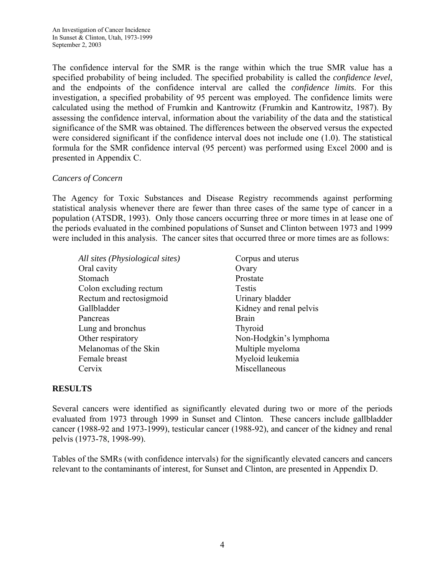The confidence interval for the SMR is the range within which the true SMR value has a specified probability of being included. The specified probability is called the *confidence level*, and the endpoints of the confidence interval are called the *confidence limits*. For this investigation, a specified probability of 95 percent was employed. The confidence limits were calculated using the method of Frumkin and Kantrowitz (Frumkin and Kantrowitz, 1987). By assessing the confidence interval, information about the variability of the data and the statistical significance of the SMR was obtained. The differences between the observed versus the expected were considered significant if the confidence interval does not include one (1.0). The statistical formula for the SMR confidence interval (95 percent) was performed using Excel 2000 and is presented in Appendix C.

# *Cancers of Concern*

The Agency for Toxic Substances and Disease Registry recommends against performing statistical analysis whenever there are fewer than three cases of the same type of cancer in a population (ATSDR, 1993). Only those cancers occurring three or more times in at lease one of the periods evaluated in the combined populations of Sunset and Clinton between 1973 and 1999 were included in this analysis. The cancer sites that occurred three or more times are as follows:

*All sites (Physiological sites)* Corpus and uterus Oral cavity Ovary Stomach Prostate Colon excluding rectum Testis Rectum and rectosigmoid Urinary bladder Gallbladder Kidney and renal pelvis Pancreas Brain Lung and bronchus Thyroid Other respiratory Non-Hodgkin's lymphoma Melanomas of the Skin Multiple myeloma Female breast Myeloid leukemia Cervix Miscellaneous

# **RESULTS**

Several cancers were identified as significantly elevated during two or more of the periods evaluated from 1973 through 1999 in Sunset and Clinton. These cancers include gallbladder cancer (1988-92 and 1973-1999), testicular cancer (1988-92), and cancer of the kidney and renal pelvis (1973-78, 1998-99).

Tables of the SMRs (with confidence intervals) for the significantly elevated cancers and cancers relevant to the contaminants of interest, for Sunset and Clinton, are presented in Appendix D.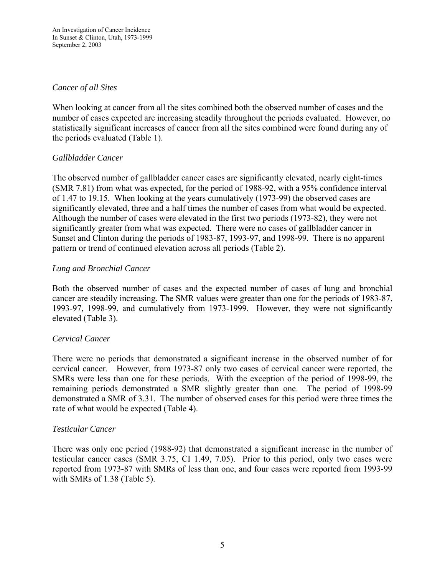### *Cancer of all Sites*

When looking at cancer from all the sites combined both the observed number of cases and the number of cases expected are increasing steadily throughout the periods evaluated. However, no statistically significant increases of cancer from all the sites combined were found during any of the periods evaluated (Table 1).

# *Gallbladder Cancer*

The observed number of gallbladder cancer cases are significantly elevated, nearly eight-times (SMR 7.81) from what was expected, for the period of 1988-92, with a 95% confidence interval of 1.47 to 19.15. When looking at the years cumulatively (1973-99) the observed cases are significantly elevated, three and a half times the number of cases from what would be expected. Although the number of cases were elevated in the first two periods (1973-82), they were not significantly greater from what was expected. There were no cases of gallbladder cancer in Sunset and Clinton during the periods of 1983-87, 1993-97, and 1998-99. There is no apparent pattern or trend of continued elevation across all periods (Table 2).

### *Lung and Bronchial Cancer*

Both the observed number of cases and the expected number of cases of lung and bronchial cancer are steadily increasing. The SMR values were greater than one for the periods of 1983-87, 1993-97, 1998-99, and cumulatively from 1973-1999. However, they were not significantly elevated (Table 3).

# *Cervical Cancer*

There were no periods that demonstrated a significant increase in the observed number of for cervical cancer. However, from 1973-87 only two cases of cervical cancer were reported, the SMRs were less than one for these periods. With the exception of the period of 1998-99, the remaining periods demonstrated a SMR slightly greater than one. The period of 1998-99 demonstrated a SMR of 3.31. The number of observed cases for this period were three times the rate of what would be expected (Table 4).

#### *Testicular Cancer*

There was only one period (1988-92) that demonstrated a significant increase in the number of testicular cancer cases (SMR 3.75, CI 1.49, 7.05). Prior to this period, only two cases were reported from 1973-87 with SMRs of less than one, and four cases were reported from 1993-99 with SMRs of 1.38 (Table 5).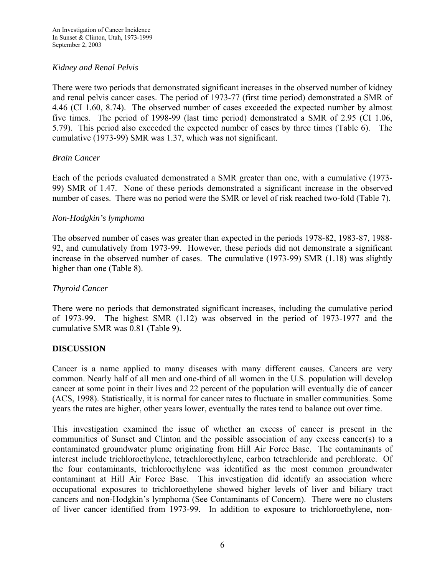### *Kidney and Renal Pelvis*

There were two periods that demonstrated significant increases in the observed number of kidney and renal pelvis cancer cases. The period of 1973-77 (first time period) demonstrated a SMR of 4.46 (CI 1.60, 8.74). The observed number of cases exceeded the expected number by almost five times. The period of 1998-99 (last time period) demonstrated a SMR of 2.95 (CI 1.06, 5.79). This period also exceeded the expected number of cases by three times (Table 6). The cumulative (1973-99) SMR was 1.37, which was not significant.

### *Brain Cancer*

Each of the periods evaluated demonstrated a SMR greater than one, with a cumulative (1973- 99) SMR of 1.47. None of these periods demonstrated a significant increase in the observed number of cases. There was no period were the SMR or level of risk reached two-fold (Table 7).

#### *Non-Hodgkin's lymphoma*

The observed number of cases was greater than expected in the periods 1978-82, 1983-87, 1988- 92, and cumulatively from 1973-99. However, these periods did not demonstrate a significant increase in the observed number of cases. The cumulative (1973-99) SMR (1.18) was slightly higher than one (Table 8).

#### *Thyroid Cancer*

There were no periods that demonstrated significant increases, including the cumulative period of 1973-99. The highest SMR (1.12) was observed in the period of 1973-1977 and the cumulative SMR was 0.81 (Table 9).

#### **DISCUSSION**

Cancer is a name applied to many diseases with many different causes. Cancers are very common. Nearly half of all men and one-third of all women in the U.S. population will develop cancer at some point in their lives and 22 percent of the population will eventually die of cancer (ACS, 1998). Statistically, it is normal for cancer rates to fluctuate in smaller communities. Some years the rates are higher, other years lower, eventually the rates tend to balance out over time.

This investigation examined the issue of whether an excess of cancer is present in the communities of Sunset and Clinton and the possible association of any excess cancer(s) to a contaminated groundwater plume originating from Hill Air Force Base. The contaminants of interest include trichloroethylene, tetrachloroethylene, carbon tetrachloride and perchlorate. Of the four contaminants, trichloroethylene was identified as the most common groundwater contaminant at Hill Air Force Base. This investigation did identify an association where occupational exposures to trichloroethylene showed higher levels of liver and biliary tract cancers and non-Hodgkin's lymphoma (See Contaminants of Concern). There were no clusters of liver cancer identified from 1973-99. In addition to exposure to trichloroethylene, non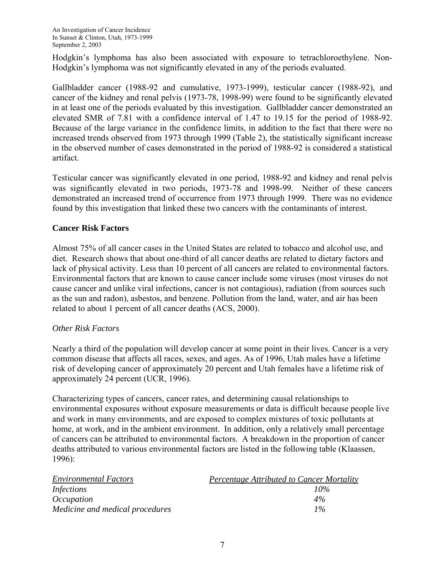Hodgkin's lymphoma has also been associated with exposure to tetrachloroethylene. Non-Hodgkin's lymphoma was not significantly elevated in any of the periods evaluated.

Gallbladder cancer (1988-92 and cumulative, 1973-1999), testicular cancer (1988-92), and cancer of the kidney and renal pelvis (1973-78, 1998-99) were found to be significantly elevated in at least one of the periods evaluated by this investigation. Gallbladder cancer demonstrated an elevated SMR of 7.81 with a confidence interval of 1.47 to 19.15 for the period of 1988-92. Because of the large variance in the confidence limits, in addition to the fact that there were no increased trends observed from 1973 through 1999 (Table 2), the statistically significant increase in the observed number of cases demonstrated in the period of 1988-92 is considered a statistical artifact.

Testicular cancer was significantly elevated in one period, 1988-92 and kidney and renal pelvis was significantly elevated in two periods, 1973-78 and 1998-99. Neither of these cancers demonstrated an increased trend of occurrence from 1973 through 1999. There was no evidence found by this investigation that linked these two cancers with the contaminants of interest.

# **Cancer Risk Factors**

Almost 75% of all cancer cases in the United States are related to tobacco and alcohol use, and diet. Research shows that about one-third of all cancer deaths are related to dietary factors and lack of physical activity. Less than 10 percent of all cancers are related to environmental factors. Environmental factors that are known to cause cancer include some viruses (most viruses do not cause cancer and unlike viral infections, cancer is not contagious), radiation (from sources such as the sun and radon), asbestos, and benzene. Pollution from the land, water, and air has been related to about 1 percent of all cancer deaths (ACS, 2000).

# *Other Risk Factors*

Nearly a third of the population will develop cancer at some point in their lives. Cancer is a very common disease that affects all races, sexes, and ages. As of 1996, Utah males have a lifetime risk of developing cancer of approximately 20 percent and Utah females have a lifetime risk of approximately 24 percent (UCR, 1996).

Characterizing types of cancers, cancer rates, and determining causal relationships to environmental exposures without exposure measurements or data is difficult because people live and work in many environments, and are exposed to complex mixtures of toxic pollutants at home, at work, and in the ambient environment. In addition, only a relatively small percentage of cancers can be attributed to environmental factors. A breakdown in the proportion of cancer deaths attributed to various environmental factors are listed in the following table (Klaassen, 1996):

| <b>Environmental Factors</b>    | <b>Percentage Attributed to Cancer Mortality</b> |
|---------------------------------|--------------------------------------------------|
| Infections                      | $10\%$                                           |
| <i>Occupation</i>               | 4%                                               |
| Medicine and medical procedures | $1\%$                                            |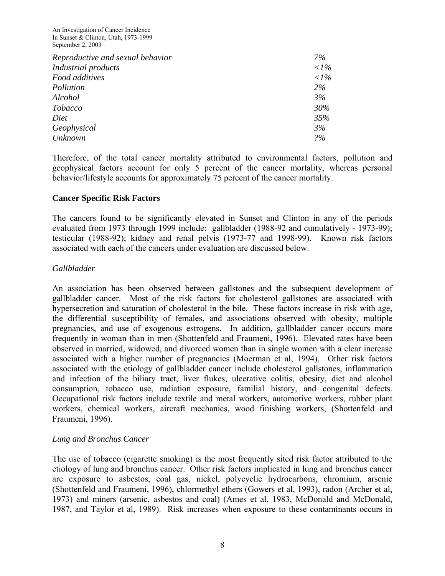An Investigation of Cancer Incidence In Sunset & Clinton, Utah, 1973-1999 September 2, 2003

| Reproductive and sexual behavior | 7%           |
|----------------------------------|--------------|
| Industrial products              | $\langle$ 1% |
| Food additives                   | $\langle$ 1% |
| Pollution                        | 2%           |
| Alcohol                          | 3%           |
| Tobacco                          | 30%          |
| Diet                             | 35%          |
| Geophysical                      | 3%           |
| <b>Unknown</b>                   | 2%           |

Therefore, of the total cancer mortality attributed to environmental factors, pollution and geophysical factors account for only 5 percent of the cancer mortality, whereas personal behavior/lifestyle accounts for approximately 75 percent of the cancer mortality.

#### **Cancer Specific Risk Factors**

The cancers found to be significantly elevated in Sunset and Clinton in any of the periods evaluated from 1973 through 1999 include: gallbladder (1988-92 and cumulatively - 1973-99); testicular (1988-92); kidney and renal pelvis (1973-77 and 1998-99). Known risk factors associated with each of the cancers under evaluation are discussed below.

#### *Gallbladder*

An association has been observed between gallstones and the subsequent development of gallbladder cancer. Most of the risk factors for cholesterol gallstones are associated with hypersecretion and saturation of cholesterol in the bile. These factors increase in risk with age, the differential susceptibility of females, and associations observed with obesity, multiple pregnancies, and use of exogenous estrogens. In addition, gallbladder cancer occurs more frequently in woman than in men (Shottenfeld and Fraumeni, 1996). Elevated rates have been observed in married, widowed, and divorced women than in single women with a clear increase associated with a higher number of pregnancies (Moerman et al, 1994). Other risk factors associated with the etiology of gallbladder cancer include cholesterol gallstones, inflammation and infection of the biliary tract, liver flukes, ulcerative colitis, obesity, diet and alcohol consumption, tobacco use, radiation exposure, familial history, and congenital defects. Occupational risk factors include textile and metal workers, automotive workers, rubber plant workers, chemical workers, aircraft mechanics, wood finishing workers, (Shottenfeld and Fraumeni, 1996).

#### *Lung and Bronchus Cancer*

The use of tobacco (cigarette smoking) is the most frequently sited risk factor attributed to the etiology of lung and bronchus cancer. Other risk factors implicated in lung and bronchus cancer are exposure to asbestos, coal gas, nickel, polycyclic hydrocarbons, chromium, arsenic (Shottenfeld and Fraumeni, 1996), chlormethyl ethers (Gowers et al, 1993), radon (Archer et al, 1973) and miners (arsenic, asbestos and coal) (Ames et al, 1983, McDonald and McDonald, 1987, and Taylor et al, 1989). Risk increases when exposure to these contaminants occurs in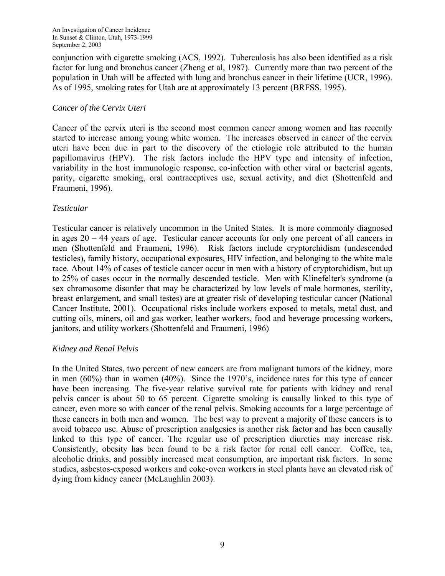conjunction with cigarette smoking (ACS, 1992). Tuberculosis has also been identified as a risk factor for lung and bronchus cancer (Zheng et al, 1987). Currently more than two percent of the population in Utah will be affected with lung and bronchus cancer in their lifetime (UCR, 1996). As of 1995, smoking rates for Utah are at approximately 13 percent (BRFSS, 1995).

# *Cancer of the Cervix Uteri*

Cancer of the cervix uteri is the second most common cancer among women and has recently started to increase among young white women. The increases observed in cancer of the cervix uteri have been due in part to the discovery of the etiologic role attributed to the human papillomavirus (HPV). The risk factors include the HPV type and intensity of infection, variability in the host immunologic response, co-infection with other viral or bacterial agents, parity, cigarette smoking, oral contraceptives use, sexual activity, and diet (Shottenfeld and Fraumeni, 1996).

### *Testicular*

Testicular cancer is relatively uncommon in the United States. It is more commonly diagnosed in ages 20 – 44 years of age. Testicular cancer accounts for only one percent of all cancers in men (Shottenfeld and Fraumeni, 1996). Risk factors include cryptorchidism (undescended testicles), family history, occupational exposures, HIV infection, and belonging to the white male race. About 14% of cases of testicle cancer occur in men with a history of cryptorchidism, but up to 25% of cases occur in the normally descended testicle. Men with Klinefelter's syndrome (a sex chromosome disorder that may be characterized by low levels of male hormones, sterility, breast enlargement, and small testes) are at greater risk of developing testicular cancer (National Cancer Institute, 2001). Occupational risks include workers exposed to metals, metal dust, and cutting oils, miners, oil and gas worker, leather workers, food and beverage processing workers, janitors, and utility workers (Shottenfeld and Fraumeni, 1996)

# *Kidney and Renal Pelvis*

In the United States, two percent of new cancers are from malignant tumors of the kidney, more in men (60%) than in women (40%). Since the 1970's, incidence rates for this type of cancer have been increasing. The five-year relative survival rate for patients with kidney and renal pelvis cancer is about 50 to 65 percent. Cigarette smoking is causally linked to this type of cancer, even more so with cancer of the renal pelvis. Smoking accounts for a large percentage of these cancers in both men and women. The best way to prevent a majority of these cancers is to avoid tobacco use. Abuse of prescription analgesics is another risk factor and has been causally linked to this type of cancer. The regular use of prescription diuretics may increase risk. Consistently, obesity has been found to be a risk factor for renal cell cancer. Coffee, tea, alcoholic drinks, and possibly increased meat consumption, are important risk factors. In some studies, asbestos-exposed workers and coke-oven workers in steel plants have an elevated risk of dying from kidney cancer (McLaughlin 2003).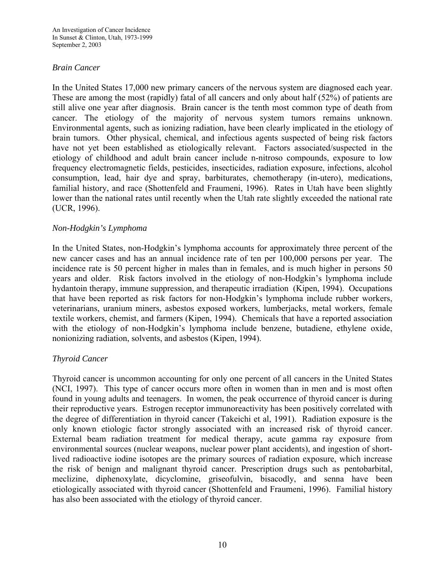### *Brain Cancer*

In the United States 17,000 new primary cancers of the nervous system are diagnosed each year. These are among the most (rapidly) fatal of all cancers and only about half (52%) of patients are still alive one year after diagnosis. Brain cancer is the tenth most common type of death from cancer. The etiology of the majority of nervous system tumors remains unknown. Environmental agents, such as ionizing radiation, have been clearly implicated in the etiology of brain tumors. Other physical, chemical, and infectious agents suspected of being risk factors have not yet been established as etiologically relevant. Factors associated/suspected in the etiology of childhood and adult brain cancer include n-nitroso compounds, exposure to low frequency electromagnetic fields, pesticides, insecticides, radiation exposure, infections, alcohol consumption, lead, hair dye and spray, barbiturates, chemotherapy (in-utero), medications, familial history, and race (Shottenfeld and Fraumeni, 1996). Rates in Utah have been slightly lower than the national rates until recently when the Utah rate slightly exceeded the national rate (UCR, 1996).

### *Non-Hodgkin's Lymphoma*

In the United States, non-Hodgkin's lymphoma accounts for approximately three percent of the new cancer cases and has an annual incidence rate of ten per 100,000 persons per year. The incidence rate is 50 percent higher in males than in females, and is much higher in persons 50 years and older. Risk factors involved in the etiology of non-Hodgkin's lymphoma include hydantoin therapy, immune suppression, and therapeutic irradiation (Kipen, 1994). Occupations that have been reported as risk factors for non-Hodgkin's lymphoma include rubber workers, veterinarians, uranium miners, asbestos exposed workers, lumberjacks, metal workers, female textile workers, chemist, and farmers (Kipen, 1994). Chemicals that have a reported association with the etiology of non-Hodgkin's lymphoma include benzene, butadiene, ethylene oxide, nonionizing radiation, solvents, and asbestos (Kipen, 1994).

# *Thyroid Cancer*

Thyroid cancer is uncommon accounting for only one percent of all cancers in the United States (NCI, 1997). This type of cancer occurs more often in women than in men and is most often found in young adults and teenagers. In women, the peak occurrence of thyroid cancer is during their reproductive years. Estrogen receptor immunoreactivity has been positively correlated with the degree of differentiation in thyroid cancer (Takeichi et al, 1991). Radiation exposure is the only known etiologic factor strongly associated with an increased risk of thyroid cancer. External beam radiation treatment for medical therapy, acute gamma ray exposure from environmental sources (nuclear weapons, nuclear power plant accidents), and ingestion of shortlived radioactive iodine isotopes are the primary sources of radiation exposure, which increase the risk of benign and malignant thyroid cancer. Prescription drugs such as pentobarbital, meclizine, diphenoxylate, dicyclomine, griseofulvin, bisacodly, and senna have been etiologically associated with thyroid cancer (Shottenfeld and Fraumeni, 1996). Familial history has also been associated with the etiology of thyroid cancer.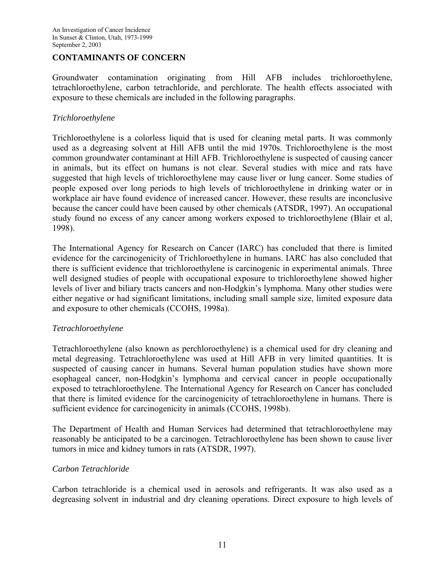#### **CONTAMINANTS OF CONCERN**

Groundwater contamination originating from Hill AFB includes trichloroethylene, tetrachloroethylene, carbon tetrachloride, and perchlorate. The health effects associated with exposure to these chemicals are included in the following paragraphs.

#### *Trichloroethylene*

Trichloroethylene is a colorless liquid that is used for cleaning metal parts. It was commonly used as a degreasing solvent at Hill AFB until the mid 1970s. Trichloroethylene is the most common groundwater contaminant at Hill AFB. Trichloroethylene is suspected of causing cancer in animals, but its effect on humans is not clear. Several studies with mice and rats have suggested that high levels of trichloroethylene may cause liver or lung cancer. Some studies of people exposed over long periods to high levels of trichloroethylene in drinking water or in workplace air have found evidence of increased cancer. However, these results are inconclusive because the cancer could have been caused by other chemicals (ATSDR, 1997). An occupational study found no excess of any cancer among workers exposed to trichloroethylene (Blair et al, 1998).

The International Agency for Research on Cancer (IARC) has concluded that there is limited evidence for the carcinogenicity of Trichloroethylene in humans. IARC has also concluded that there is sufficient evidence that trichloroethylene is carcinogenic in experimental animals. Three well designed studies of people with occupational exposure to trichloroethylene showed higher levels of liver and biliary tracts cancers and non-Hodgkin's lymphoma. Many other studies were either negative or had significant limitations, including small sample size, limited exposure data and exposure to other chemicals (CCOHS, 1998a).

#### *Tetrachloroethylene*

Tetrachloroethylene (also known as perchloroethylene) is a chemical used for dry cleaning and metal degreasing. Tetrachloroethylene was used at Hill AFB in very limited quantities. It is suspected of causing cancer in humans. Several human population studies have shown more esophageal cancer, non-Hodgkin's lymphoma and cervical cancer in people occupationally exposed to tetrachloroethylene. The International Agency for Research on Cancer has concluded that there is limited evidence for the carcinogenicity of tetrachloroethylene in humans. There is sufficient evidence for carcinogenicity in animals (CCOHS, 1998b).

The Department of Health and Human Services had determined that tetrachloroethylene may reasonably be anticipated to be a carcinogen. Tetrachloroethylene has been shown to cause liver tumors in mice and kidney tumors in rats (ATSDR, 1997).

# *Carbon Tetrachloride*

Carbon tetrachloride is a chemical used in aerosols and refrigerants. It was also used as a degreasing solvent in industrial and dry cleaning operations. Direct exposure to high levels of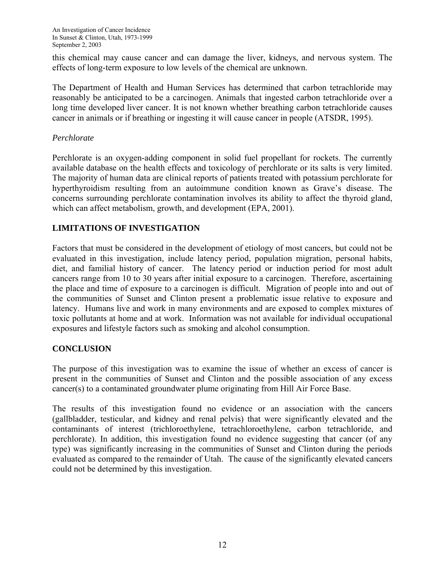this chemical may cause cancer and can damage the liver, kidneys, and nervous system. The effects of long-term exposure to low levels of the chemical are unknown.

The Department of Health and Human Services has determined that carbon tetrachloride may reasonably be anticipated to be a carcinogen. Animals that ingested carbon tetrachloride over a long time developed liver cancer. It is not known whether breathing carbon tetrachloride causes cancer in animals or if breathing or ingesting it will cause cancer in people (ATSDR, 1995).

#### *Perchlorate*

Perchlorate is an oxygen-adding component in solid fuel propellant for rockets. The currently available database on the health effects and toxicology of perchlorate or its salts is very limited. The majority of human data are clinical reports of patients treated with potassium perchlorate for hyperthyroidism resulting from an autoimmune condition known as Grave's disease. The concerns surrounding perchlorate contamination involves its ability to affect the thyroid gland, which can affect metabolism, growth, and development (EPA, 2001).

# **LIMITATIONS OF INVESTIGATION**

Factors that must be considered in the development of etiology of most cancers, but could not be evaluated in this investigation, include latency period, population migration, personal habits, diet, and familial history of cancer. The latency period or induction period for most adult cancers range from 10 to 30 years after initial exposure to a carcinogen. Therefore, ascertaining the place and time of exposure to a carcinogen is difficult. Migration of people into and out of the communities of Sunset and Clinton present a problematic issue relative to exposure and latency. Humans live and work in many environments and are exposed to complex mixtures of toxic pollutants at home and at work. Information was not available for individual occupational exposures and lifestyle factors such as smoking and alcohol consumption.

# **CONCLUSION**

The purpose of this investigation was to examine the issue of whether an excess of cancer is present in the communities of Sunset and Clinton and the possible association of any excess cancer(s) to a contaminated groundwater plume originating from Hill Air Force Base.

The results of this investigation found no evidence or an association with the cancers (gallbladder, testicular, and kidney and renal pelvis) that were significantly elevated and the contaminants of interest (trichloroethylene, tetrachloroethylene, carbon tetrachloride, and perchlorate). In addition, this investigation found no evidence suggesting that cancer (of any type) was significantly increasing in the communities of Sunset and Clinton during the periods evaluated as compared to the remainder of Utah. The cause of the significantly elevated cancers could not be determined by this investigation.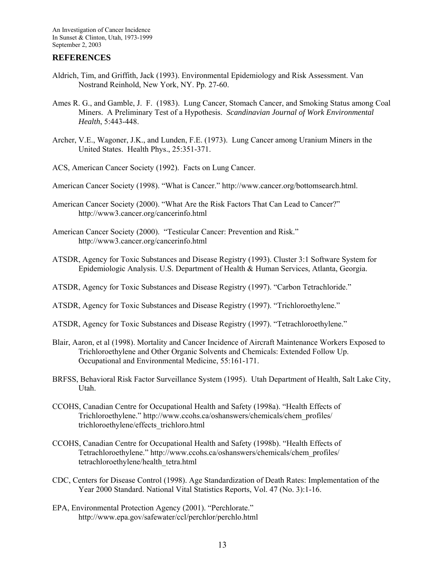#### **REFERENCES**

- Aldrich, Tim, and Griffith, Jack (1993). Environmental Epidemiology and Risk Assessment. Van Nostrand Reinhold, New York, NY. Pp. 27-60.
- Ames R. G., and Gamble, J. F. (1983). Lung Cancer, Stomach Cancer, and Smoking Status among Coal Miners. A Preliminary Test of a Hypothesis. *Scandinavian Journal of Work Environmental Health*, 5:443-448.
- Archer, V.E., Wagoner, J.K., and Lunden, F.E. (1973). Lung Cancer among Uranium Miners in the United States. Health Phys., 25:351-371.
- ACS, American Cancer Society (1992). Facts on Lung Cancer.
- American Cancer Society (1998). "What is Cancer." http://www.cancer.org/bottomsearch.html.
- American Cancer Society (2000). "What Are the Risk Factors That Can Lead to Cancer?" http://www3.cancer.org/cancerinfo.html
- American Cancer Society (2000). "Testicular Cancer: Prevention and Risk." http://www3.cancer.org/cancerinfo.html
- ATSDR, Agency for Toxic Substances and Disease Registry (1993). Cluster 3:1 Software System for Epidemiologic Analysis. U.S. Department of Health & Human Services, Atlanta, Georgia.
- ATSDR, Agency for Toxic Substances and Disease Registry (1997). "Carbon Tetrachloride."
- ATSDR, Agency for Toxic Substances and Disease Registry (1997). "Trichloroethylene."
- ATSDR, Agency for Toxic Substances and Disease Registry (1997). "Tetrachloroethylene."
- Blair, Aaron, et al (1998). Mortality and Cancer Incidence of Aircraft Maintenance Workers Exposed to Trichloroethylene and Other Organic Solvents and Chemicals: Extended Follow Up. Occupational and Environmental Medicine, 55:161-171.
- BRFSS, Behavioral Risk Factor Surveillance System (1995). Utah Department of Health, Salt Lake City, Utah.
- CCOHS, Canadian Centre for Occupational Health and Safety (1998a). "Health Effects of Trichloroethylene." http://www.ccohs.ca/oshanswers/chemicals/chem\_profiles/ trichloroethylene/effects\_trichloro.html
- CCOHS, Canadian Centre for Occupational Health and Safety (1998b). "Health Effects of Tetrachloroethylene." http://www.ccohs.ca/oshanswers/chemicals/chem\_profiles/ tetrachloroethylene/health\_tetra.html
- CDC, Centers for Disease Control (1998). Age Standardization of Death Rates: Implementation of the Year 2000 Standard. National Vital Statistics Reports, Vol. 47 (No. 3):1-16.
- EPA, Environmental Protection Agency (2001). "Perchlorate." http://www.epa.gov/safewater/ccl/perchlor/perchlo.html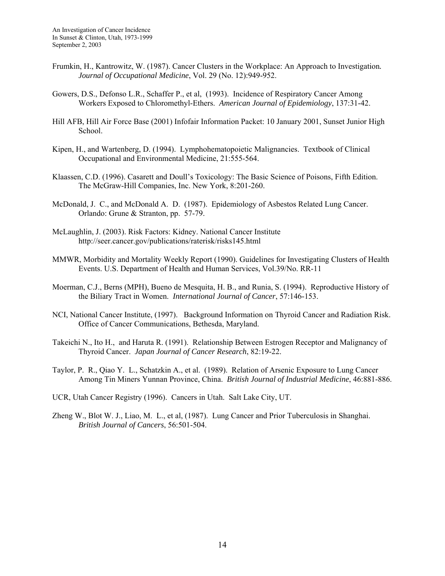- Frumkin, H., Kantrowitz, W. (1987). Cancer Clusters in the Workplace: An Approach to Investigation*. Journal of Occupational Medicine*, Vol. 29 (No. 12):949-952.
- Gowers, D.S., Defonso L.R., Schaffer P., et al, (1993). Incidence of Respiratory Cancer Among Workers Exposed to Chloromethyl-Ethers. *American Journal of Epidemiology*, 137:31-42.
- Hill AFB, Hill Air Force Base (2001) Infofair Information Packet: 10 January 2001, Sunset Junior High School.
- Kipen, H., and Wartenberg, D. (1994). Lymphohematopoietic Malignancies. Textbook of Clinical Occupational and Environmental Medicine, 21:555-564.
- Klaassen, C.D. (1996). Casarett and Doull's Toxicology: The Basic Science of Poisons, Fifth Edition. The McGraw-Hill Companies, Inc. New York, 8:201-260.
- McDonald, J. C., and McDonald A. D. (1987). Epidemiology of Asbestos Related Lung Cancer. Orlando: Grune & Stranton, pp. 57-79.
- McLaughlin, J. (2003). Risk Factors: Kidney. National Cancer Institute http://seer.cancer.gov/publications/raterisk/risks145.html
- MMWR, Morbidity and Mortality Weekly Report (1990). Guidelines for Investigating Clusters of Health Events. U.S. Department of Health and Human Services, Vol.39/No. RR-11
- Moerman, C.J., Berns (MPH), Bueno de Mesquita, H. B., and Runia, S. (1994). Reproductive History of the Biliary Tract in Women. *International Journal of Cancer*, 57:146-153.
- NCI, National Cancer Institute, (1997). Background Information on Thyroid Cancer and Radiation Risk. Office of Cancer Communications, Bethesda, Maryland.
- Takeichi N., Ito H., and Haruta R. (1991). Relationship Between Estrogen Receptor and Malignancy of Thyroid Cancer. *Japan Journal of Cancer Research*, 82:19-22.
- Taylor, P. R., Qiao Y. L., Schatzkin A., et al. (1989). Relation of Arsenic Exposure to Lung Cancer Among Tin Miners Yunnan Province, China. *British Journal of Industrial Medicine*, 46:881-886.
- UCR, Utah Cancer Registry (1996). Cancers in Utah. Salt Lake City, UT.
- Zheng W., Blot W. J., Liao, M. L., et al, (1987). Lung Cancer and Prior Tuberculosis in Shanghai. *British Journal of Cancers*, 56:501-504.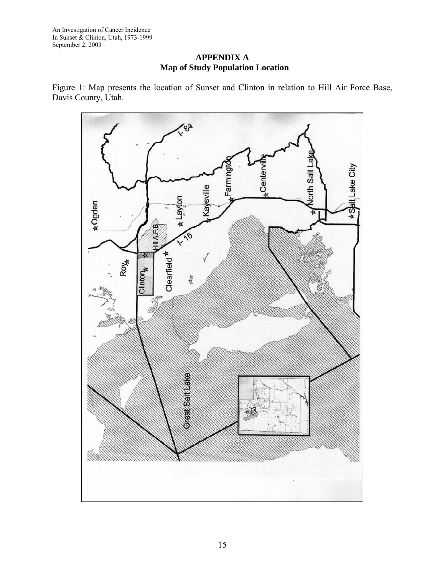An Investigation of Cancer Incidence In Sunset & Clinton, Utah, 1973-1999 September 2, 2003

**APPENDIX A Map of Study Population Location** 

Figure 1: Map presents the location of Sunset and Clinton in relation to Hill Air Force Base, Davis County, Utah.

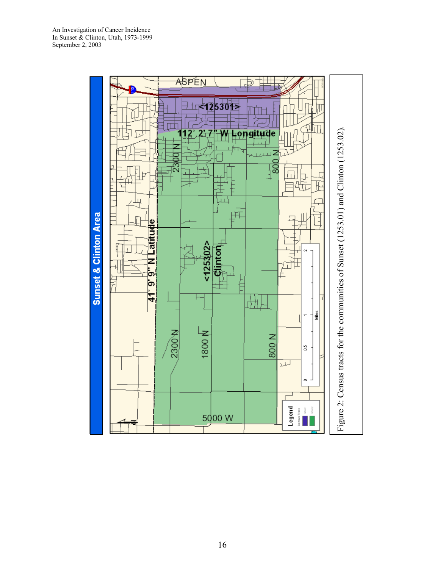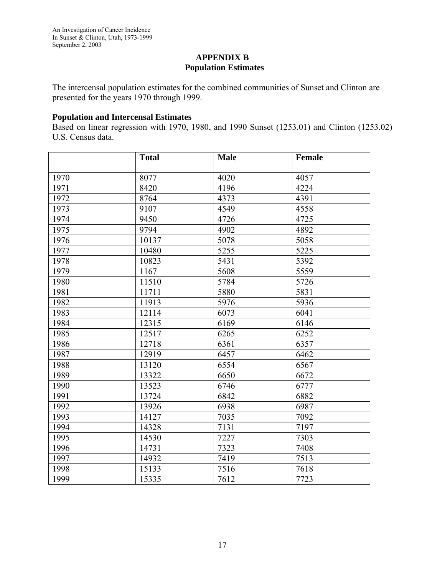### **APPENDIX B Population Estimates**

The intercensal population estimates for the combined communities of Sunset and Clinton are presented for the years 1970 through 1999.

# **Population and Intercensal Estimates**

Based on linear regression with 1970, 1980, and 1990 Sunset (1253.01) and Clinton (1253.02) U.S. Census data.

|      | <b>Total</b> | <b>Male</b> | Female |
|------|--------------|-------------|--------|
| 1970 | 8077         | 4020        | 4057   |
| 1971 | 8420         |             | 4224   |
|      |              | 4196        |        |
| 1972 | 8764         | 4373        | 4391   |
| 1973 | 9107         | 4549        | 4558   |
| 1974 | 9450         | 4726        | 4725   |
| 1975 | 9794         | 4902        | 4892   |
| 1976 | 10137        | 5078        | 5058   |
| 1977 | 10480        | 5255        | 5225   |
| 1978 | 10823        | 5431        | 5392   |
| 1979 | 1167         | 5608        | 5559   |
| 1980 | 11510        | 5784        | 5726   |
| 1981 | 11711        | 5880        | 5831   |
| 1982 | 11913        | 5976        | 5936   |
| 1983 | 12114        | 6073        | 6041   |
| 1984 | 12315        | 6169        | 6146   |
| 1985 | 12517        | 6265        | 6252   |
| 1986 | 12718        | 6361        | 6357   |
| 1987 | 12919        | 6457        | 6462   |
| 1988 | 13120        | 6554        | 6567   |
| 1989 | 13322        | 6650        | 6672   |
| 1990 | 13523        | 6746        | 6777   |
| 1991 | 13724        | 6842        | 6882   |
| 1992 | 13926        | 6938        | 6987   |
| 1993 | 14127        | 7035        | 7092   |
| 1994 | 14328        | 7131        | 7197   |
| 1995 | 14530        | 7227        | 7303   |
| 1996 | 14731        | 7323        | 7408   |
| 1997 | 14932        | 7419        | 7513   |
| 1998 | 15133        | 7516        | 7618   |
| 1999 | 15335        | 7612        | 7723   |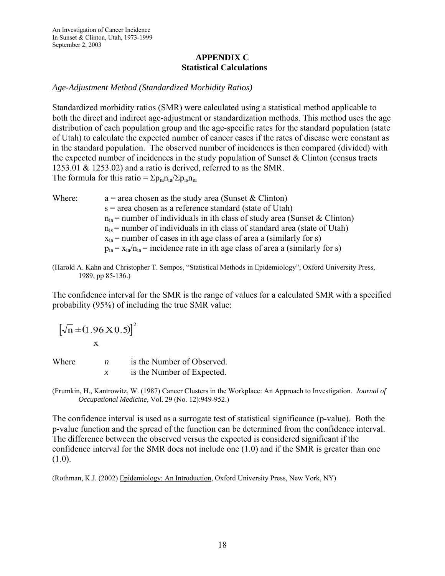An Investigation of Cancer Incidence In Sunset & Clinton, Utah, 1973-1999 September 2, 2003

### **APPENDIX C Statistical Calculations**

#### *Age-Adjustment Method (Standardized Morbidity Ratios)*

Standardized morbidity ratios (SMR) were calculated using a statistical method applicable to both the direct and indirect age-adjustment or standardization methods. This method uses the age distribution of each population group and the age-specific rates for the standard population (state of Utah) to calculate the expected number of cancer cases if the rates of disease were constant as in the standard population. The observed number of incidences is then compared (divided) with the expected number of incidences in the study population of Sunset  $\&$  Clinton (census tracts 1253.01 & 1253.02) and a ratio is derived, referred to as the SMR. The formula for this ratio =  $\Sigma p_{ia}n_{ia}/\Sigma p_{is}n_{ia}$ 

- Where:  $a = \text{area chosen as the study area (Sunset & Clinton)}$ s = area chosen as a reference standard (state of Utah)  $n_{ia}$  = number of individuals in ith class of study area (Sunset & Clinton)  $n_{is}$  = number of individuals in ith class of standard area (state of Utah)  $x<sub>ia</sub>$  = number of cases in ith age class of area a (similarly for s)  $p_{ia} = x_{ia}/n_{ia} =$  incidence rate in ith age class of area a (similarly for s)
- (Harold A. Kahn and Christopher T. Sempos, "Statistical Methods in Epidemiology", Oxford University Press, 1989, pp 85-136.)

The confidence interval for the SMR is the range of values for a calculated SMR with a specified probability (95%) of including the true SMR value:

$$
\frac{\left[\sqrt{n} \pm (1.96 \text{ X} 0.5)\right]^2}{x}
$$

Where  $n$  is the Number of Observed. *x* is the Number of Expected.

(Frumkin, H., Kantrowitz, W. (1987) Cancer Clusters in the Workplace: An Approach to Investigation. *Journal of Occupational Medicine,* Vol. 29 (No. 12):949-952.)

The confidence interval is used as a surrogate test of statistical significance (p-value). Both the p-value function and the spread of the function can be determined from the confidence interval. The difference between the observed versus the expected is considered significant if the confidence interval for the SMR does not include one (1.0) and if the SMR is greater than one  $(1.0).$ 

(Rothman, K.J. (2002) Epidemiology: An Introduction, Oxford University Press, New York, NY)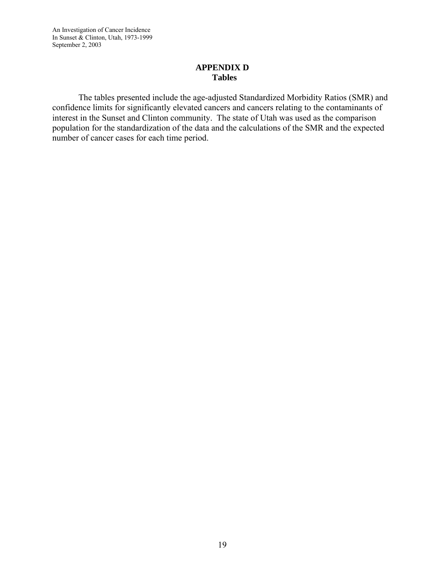An Investigation of Cancer Incidence In Sunset & Clinton, Utah, 1973-1999 September 2, 2003

### **APPENDIX D Tables**

 The tables presented include the age-adjusted Standardized Morbidity Ratios (SMR) and confidence limits for significantly elevated cancers and cancers relating to the contaminants of interest in the Sunset and Clinton community. The state of Utah was used as the comparison population for the standardization of the data and the calculations of the SMR and the expected number of cancer cases for each time period.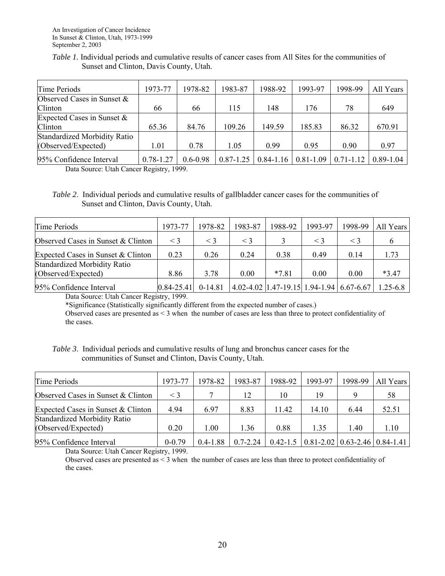| <i>Table 1.</i> Individual periods and cumulative results of cancer cases from All Sites for the communities of |  |
|-----------------------------------------------------------------------------------------------------------------|--|
| Sunset and Clinton, Davis County, Utah.                                                                         |  |

| Time Periods                  | 1973-77       | 1978-82      | 1983-87       | 1988-92 | 1993-97                 | 1998-99       | All Years     |
|-------------------------------|---------------|--------------|---------------|---------|-------------------------|---------------|---------------|
| Observed Cases in Sunset &    |               |              |               |         |                         |               |               |
| Clinton                       | 66            | 66           | 115           | 148     | 176                     | 78            | 649           |
| Expected Cases in Sunset $\&$ |               |              |               |         |                         |               |               |
| Clinton                       | 65.36         | 84.76        | 109.26        | 149.59  | 185.83                  | 86.32         | 670.91        |
| Standardized Morbidity Ratio  |               |              |               |         |                         |               |               |
| (Observed/Expected)           | 1.01          | 0.78         | 1.05          | 0.99    | 0.95                    | 0.90          | 0.97          |
| 95% Confidence Interval       | $0.78 - 1.27$ | $0.6 - 0.98$ | $0.87 - 1.25$ |         | $0.84 - 1.16$ 0.81-1.09 | $0.71 - 1.12$ | $0.89 - 1.04$ |

Data Source: Utah Cancer Registry, 1999.

*Table 2*. Individual periods and cumulative results of gallbladder cancer cases for the communities of Sunset and Clinton, Davis County, Utah.

| Time Periods                        | 1973-77        | 1978-82   | 1983-87  | 1988-92                                                    | 1993-97  | 1998-99 | All Years    |
|-------------------------------------|----------------|-----------|----------|------------------------------------------------------------|----------|---------|--------------|
| Observed Cases in Sunset & Clinton  | $\lt$ 3        | $\leq$ 3  | $\leq$ 3 |                                                            | $\leq$ 3 | $\lt$ 3 |              |
| Expected Cases in Sunset & Clinton  | 0.23           | 0.26      | 0.24     | 0.38                                                       | 0.49     | 0.14    | 1.73         |
| <b>Standardized Morbidity Ratio</b> |                |           |          |                                                            |          |         |              |
| (Observed/Expected)                 | 8.86           | 3.78      | 0.00     | $*7.81$                                                    | 0.00     | 0.00    | $*3.47$      |
| 95% Confidence Interval             | $0.84 - 25.41$ | $0-14.81$ |          | $(4.02 - 4.02)$ $(1.47 - 19.15)$ 1.94-1.94 $(6.67 - 6.67)$ |          |         | $1.25 - 6.8$ |

Data Source: Utah Cancer Registry, 1999.

\*Significance (Statistically significantly different from the expected number of cases.)

Observed cases are presented as < 3 when the number of cases are less than three to protect confidentiality of the cases.

*Table 3*. Individual periods and cumulative results of lung and bronchus cancer cases for the communities of Sunset and Clinton, Davis County, Utah.

| Time Periods                        | 1973-77    | 1978-82      | 1983-87      | 1988-92 | 1993-97                                                      | 1998-99 | All Years |
|-------------------------------------|------------|--------------|--------------|---------|--------------------------------------------------------------|---------|-----------|
| Observed Cases in Sunset & Clinton  | $\leq$ 3   |              | 12           | 10      | 19                                                           |         | 58        |
| Expected Cases in Sunset & Clinton  | 4.94       | 6.97         | 8.83         | 11.42   | 14.10                                                        | 6.44    | 52.51     |
| <b>Standardized Morbidity Ratio</b> |            |              |              |         |                                                              |         |           |
| (Observed/Expected)                 | 0.20       | 1.00         | 1.36         | 0.88    | 1.35                                                         | 1.40    | 1.10      |
| 95% Confidence Interval             | $0 - 0.79$ | $0.4 - 1.88$ | $0.7 - 2.24$ |         | $0.42 - 1.5$   $0.81 - 2.02$   $0.63 - 2.46$   $0.84 - 1.41$ |         |           |

Data Source: Utah Cancer Registry, 1999.

Observed cases are presented as < 3 when the number of cases are less than three to protect confidentiality of the cases.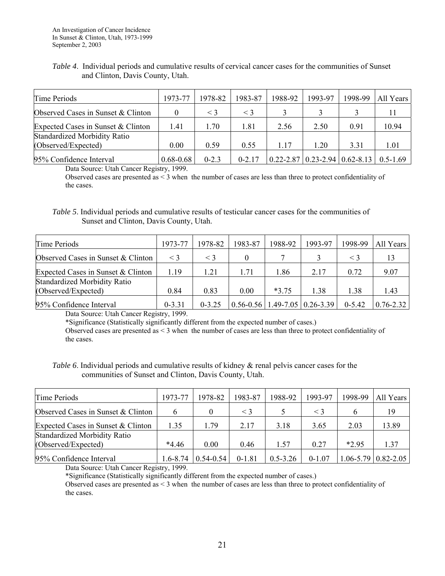#### *Table 4*. Individual periods and cumulative results of cervical cancer cases for the communities of Sunset and Clinton, Davis County, Utah.

| Time Periods                       | 1973-77       | 1978-82   | 1983-87    | 1988-92 | 1993-97                                                | 1998-99 | All Years |
|------------------------------------|---------------|-----------|------------|---------|--------------------------------------------------------|---------|-----------|
| Observed Cases in Sunset & Clinton |               | $\leq$ 3  | $\leq$ 3   |         |                                                        |         |           |
| Expected Cases in Sunset & Clinton | 1.41          | 1.70      | 1.81       | 2.56    | 2.50                                                   | 0.91    | 10.94     |
| Standardized Morbidity Ratio       |               |           |            |         |                                                        |         |           |
| (Observed/Expected)                | 0.00          | 0.59      | 0.55       | 1.17    | 1.20                                                   | 3.31    | 1.01      |
| 95% Confidence Interval            | $0.68 - 0.68$ | $0 - 2.3$ | $0 - 2.17$ |         | $0.22 - 2.87$   0.23 - 2.94   0.62 - 8.13   0.5 - 1.69 |         |           |

Data Source: Utah Cancer Registry, 1999.

Observed cases are presented as < 3 when the number of cases are less than three to protect confidentiality of the cases.

*Table 5*. Individual periods and cumulative results of testicular cancer cases for the communities of Sunset and Clinton, Davis County, Utah.

| Time Periods                        | 1973-77    | 1978-82    | 1983-87  | 1988-92 | 1993-97                               | 1998-99    | All Years     |
|-------------------------------------|------------|------------|----------|---------|---------------------------------------|------------|---------------|
| Observed Cases in Sunset & Clinton  | $\leq$ 3   | $\leq 3$   | $\theta$ |         |                                       | $<$ 3      |               |
| Expected Cases in Sunset & Clinton  | 1.19       | 1.21       | 1.71     | l.86    | 2.17                                  | 0.72       | 9.07          |
| <b>Standardized Morbidity Ratio</b> |            |            |          |         |                                       |            |               |
| (Observed/Expected)                 | 0.84       | 0.83       | 0.00     | $*3.75$ | 1.38                                  | 1.38       | 1.43          |
| 95% Confidence Interval             | $0 - 3.31$ | $0 - 3.25$ |          |         | $0.56 - 0.56$   1.49-7.05   0.26-3.39 | $0 - 5.42$ | $0.76 - 2.32$ |

Data Source: Utah Cancer Registry, 1999.

\*Significance (Statistically significantly different from the expected number of cases.)

Observed cases are presented as < 3 when the number of cases are less than three to protect confidentiality of the cases.

#### *Table 6*. Individual periods and cumulative results of kidney & renal pelvis cancer cases for the communities of Sunset and Clinton, Davis County, Utah.

| Time Periods                       | 1973-77      | 1978-82       | 1983-87  | 1988-92      | 1993-97  | 1998-99 | All Years                      |
|------------------------------------|--------------|---------------|----------|--------------|----------|---------|--------------------------------|
| Observed Cases in Sunset & Clinton |              |               | $\leq$ 3 |              | $\leq$ 3 | 6       | 19                             |
| Expected Cases in Sunset & Clinton | 1.35         | 1.79          | 2.17     | 3.18         | 3.65     | 2.03    | 13.89                          |
| Standardized Morbidity Ratio       |              |               |          |              |          |         |                                |
| (Observed/Expected)                | $*4.46$      | 0.00          | 046      | 1.57         | 0.27     | *2.95   | 1.37                           |
| 95% Confidence Interval            | $1.6 - 8.74$ | $0.54 - 0.54$ | $0-1.81$ | $0.5 - 3.26$ | $0-1.07$ |         | $1.06 - 5.79 \mid 0.82 - 2.05$ |

Data Source: Utah Cancer Registry, 1999.

\*Significance (Statistically significantly different from the expected number of cases.)

Observed cases are presented as < 3 when the number of cases are less than three to protect confidentiality of the cases.